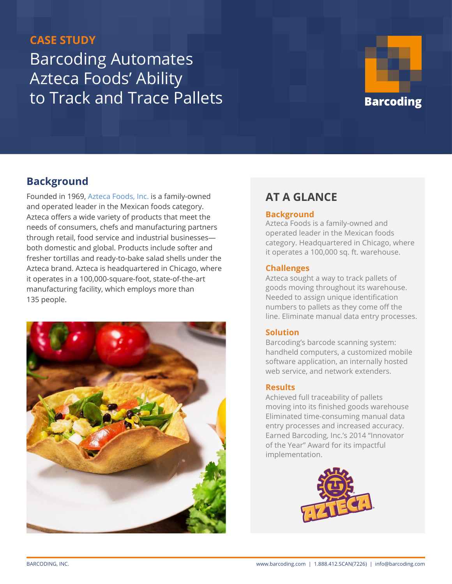# **CASE STUDY** Barcoding Automates Azteca Foods' Ability to Track and Trace Pallets



## **Background**

Founded in 1969, [Azteca Foods](http://www.aztecafoods.com/), Inc. is a family-owned and operated leader in the Mexican foods category. Azteca offers a wide variety of products that meet the needs of consumers, chefs and manufacturing partners through retail, food service and industrial businesses both domestic and global. Products include softer and fresher tortillas and ready-to-bake salad shells under the Azteca brand. Azteca is headquartered in Chicago, where it operates in a 100,000-square-foot, state-of-the-art manufacturing facility, which employs more than 135 people.



## **AT A GLANCE**

#### **Background**

Azteca Foods is a family-owned and operated leader in the Mexican foods category. Headquartered in Chicago, where it operates a 100,000 sq. ft. warehouse.

#### **Challenges**

Azteca sought a way to track pallets of goods moving throughout its warehouse. Needed to assign unique identification numbers to pallets as they come off the line. Eliminate manual data entry processes.

#### **Solution**

Barcoding's barcode scanning system: handheld computers, a customized mobile software application, an internally hosted web service, and network extenders.

#### **Results**

Achieved full traceability of pallets moving into its finished goods warehouse Eliminated time-consuming manual data entry processes and increased accuracy. Earned Barcoding, Inc.'s 2014 "Innovator of the Year" Award for its impactful implementation.

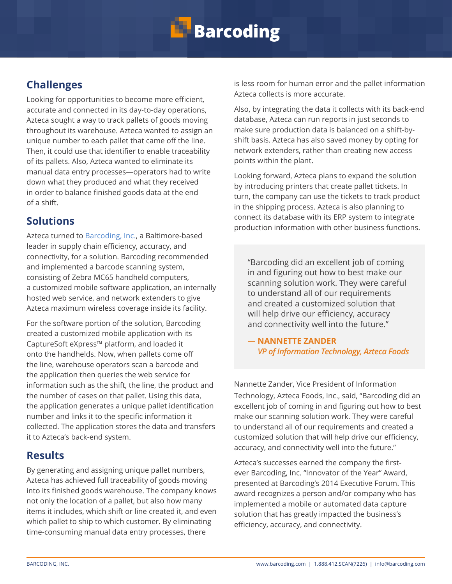

## **Challenges**

Looking for opportunities to become more efficient, accurate and connected in its day-to-day operations, Azteca sought a way to track pallets of goods moving throughout its warehouse. Azteca wanted to assign an unique number to each pallet that came off the line. Then, it could use that identifier to enable traceability of its pallets. Also, Azteca wanted to eliminate its manual data entry processes—operators had to write down what they produced and what they received in order to balance finished goods data at the end of a shift.

### **Solutions**

Azteca turned to [Barcoding, Inc.](https://www.barcoding.com/), a Baltimore-based leader in supply chain efficiency, accuracy, and connectivity, for a solution. Barcoding recommended and implemented a barcode scanning system, consisting of Zebra MC65 handheld computers, a customized mobile software application, an internally hosted web service, and network extenders to give Azteca maximum wireless coverage inside its facility.

For the software portion of the solution, Barcoding created a customized mobile application with its CaptureSoft eXpress™ platform, and loaded it onto the handhelds. Now, when pallets come off the line, warehouse operators scan a barcode and the application then queries the web service for information such as the shift, the line, the product and the number of cases on that pallet. Using this data, the application generates a unique pallet identification number and links it to the specific information it collected. The application stores the data and transfers it to Azteca's back-end system.

## **Results**

By generating and assigning unique pallet numbers, Azteca has achieved full traceability of goods moving into its finished goods warehouse. The company knows not only the location of a pallet, but also how many items it includes, which shift or line created it, and even which pallet to ship to which customer. By eliminating time-consuming manual data entry processes, there

is less room for human error and the pallet information Azteca collects is more accurate.

Also, by integrating the data it collects with its back-end database, Azteca can run reports in just seconds to make sure production data is balanced on a shift-byshift basis. Azteca has also saved money by opting for network extenders, rather than creating new access points within the plant.

Looking forward, Azteca plans to expand the solution by introducing printers that create pallet tickets. In turn, the company can use the tickets to track product in the shipping process. Azteca is also planning to connect its database with its ERP system to integrate production information with other business functions.

"Barcoding did an excellent job of coming in and figuring out how to best make our scanning solution work. They were careful to understand all of our requirements and created a customized solution that will help drive our efficiency, accuracy and connectivity well into the future."

*―* **NANNETTE ZANDER**  *VP of Information Technology, Azteca Foods*

Nannette Zander, Vice President of Information Technology, Azteca Foods, Inc., said, "Barcoding did an excellent job of coming in and figuring out how to best make our scanning solution work. They were careful to understand all of our requirements and created a customized solution that will help drive our efficiency, accuracy, and connectivity well into the future."

Azteca's successes earned the company the firstever Barcoding, Inc. "Innovator of the Year" Award, presented at Barcoding's 2014 Executive Forum. This award recognizes a person and/or company who has implemented a mobile or automated data capture solution that has greatly impacted the business's efficiency, accuracy, and connectivity.